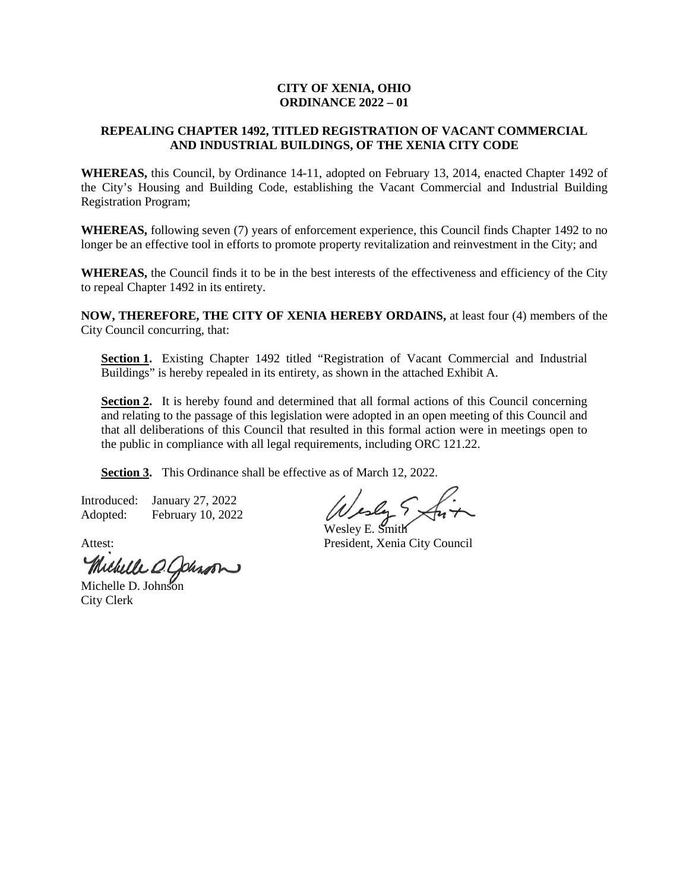# **CITY OF XENIA, OHIO ORDINANCE 2022 – 01**

# **REPEALING CHAPTER 1492, TITLED REGISTRATION OF VACANT COMMERCIAL AND INDUSTRIAL BUILDINGS, OF THE XENIA CITY CODE**

**WHEREAS,** this Council, by Ordinance 14-11, adopted on February 13, 2014, enacted Chapter 1492 of the City's Housing and Building Code, establishing the Vacant Commercial and Industrial Building Registration Program;

**WHEREAS,** following seven (7) years of enforcement experience, this Council finds Chapter 1492 to no longer be an effective tool in efforts to promote property revitalization and reinvestment in the City; and

**WHEREAS,** the Council finds it to be in the best interests of the effectiveness and efficiency of the City to repeal Chapter 1492 in its entirety.

**NOW, THEREFORE, THE CITY OF XENIA HEREBY ORDAINS,** at least four (4) members of the City Council concurring, that:

Section 1. Existing Chapter 1492 titled "Registration of Vacant Commercial and Industrial Buildings" is hereby repealed in its entirety, as shown in the attached Exhibit A.

Section 2. It is hereby found and determined that all formal actions of this Council concerning and relating to the passage of this legislation were adopted in an open meeting of this Council and that all deliberations of this Council that resulted in this formal action were in meetings open to the public in compliance with all legal requirements, including ORC 121.22.

**Section 3.** This Ordinance shall be effective as of March 12, 2022.

Introduced: January 27, 2022 Adopted: February 10, 2022

Vesly Sx

Wesley E. Smith Attest: President, Xenia City Council

Michelle O. Cohron

City Clerk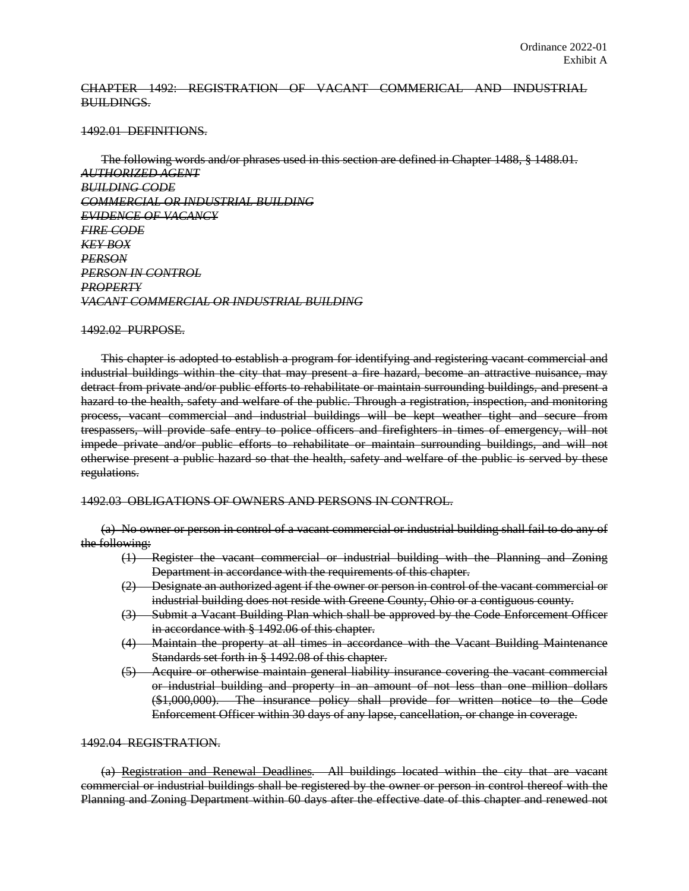# CHAPTER 1492: REGISTRATION OF VACANT COMMERICAL AND INDUSTRIAL BUILDINGS.

## 1492.01 DEFINITIONS.

The following words and/or phrases used in this section are defined in Chapter 1488, § 1488.01. *AUTHORIZED AGENT BUILDING CODE COMMERCIAL OR INDUSTRIAL BUILDING EVIDENCE OF VACANCY FIRE CODE KEY BOX PERSON PERSON IN CONTROL PROPERTY VACANT COMMERCIAL OR INDUSTRIAL BUILDING*

## 1492.02 PURPOSE.

This chapter is adopted to establish a program for identifying and registering vacant commercial and industrial buildings within the city that may present a fire hazard, become an attractive nuisance, may detract from private and/or public efforts to rehabilitate or maintain surrounding buildings, and present a hazard to the health, safety and welfare of the public. Through a registration, inspection, and monitoring process, vacant commercial and industrial buildings will be kept weather tight and secure from trespassers, will provide safe entry to police officers and firefighters in times of emergency, will not impede private and/or public efforts to rehabilitate or maintain surrounding buildings, and will not otherwise present a public hazard so that the health, safety and welfare of the public is served by these regulations.

## 1492.03 OBLIGATIONS OF OWNERS AND PERSONS IN CONTROL.

(a) No owner or person in control of a vacant commercial or industrial building shall fail to do any of the following:

- (1) Register the vacant commercial or industrial building with the Planning and Zoning Department in accordance with the requirements of this chapter.
- (2) Designate an authorized agent if the owner or person in control of the vacant commercial or industrial building does not reside with Greene County, Ohio or a contiguous county.
- (3) Submit a Vacant Building Plan which shall be approved by the Code Enforcement Officer in accordance with § 1492.06 of this chapter.
- (4) Maintain the property at all times in accordance with the Vacant Building Maintenance Standards set forth in § 1492.08 of this chapter.
- (5) Acquire or otherwise maintain general liability insurance covering the vacant commercial or industrial building and property in an amount of not less than one million dollars (\$1,000,000). The insurance policy shall provide for written notice to the Code Enforcement Officer within 30 days of any lapse, cancellation, or change in coverage.

# 1492.04 REGISTRATION.

(a) Registration and Renewal Deadlines*.* All buildings located within the city that are vacant commercial or industrial buildings shall be registered by the owner or person in control thereof with the Planning and Zoning Department within 60 days after the effective date of this chapter and renewed not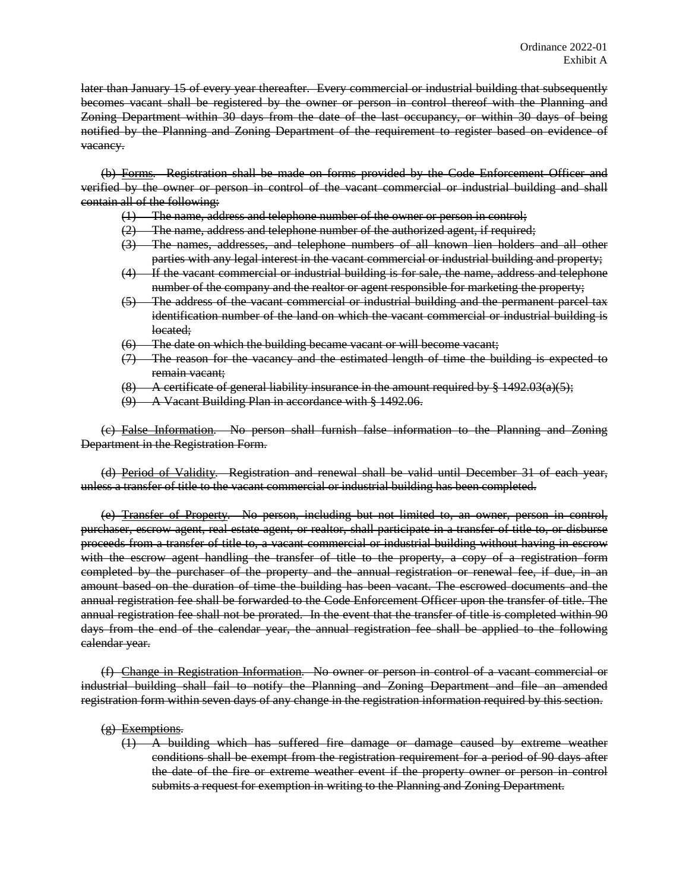later than January 15 of every year thereafter. Every commercial or industrial building that subsequently becomes vacant shall be registered by the owner or person in control thereof with the Planning and Zoning Department within 30 days from the date of the last occupancy, or within 30 days of being notified by the Planning and Zoning Department of the requirement to register based on evidence of vacancy.

(b) Forms*.* Registration shall be made on forms provided by the Code Enforcement Officer and verified by the owner or person in control of the vacant commercial or industrial building and shall contain all of the following:

- (1) The name, address and telephone number of the owner or person in control;
- $(2)$  The name, address and telephone number of the authorized agent, if required;
- (3) The names, addresses, and telephone numbers of all known lien holders and all other parties with any legal interest in the vacant commercial or industrial building and property;
- (4) If the vacant commercial or industrial building is for sale, the name, address and telephone number of the company and the realtor or agent responsible for marketing the property;
- (5) The address of the vacant commercial or industrial building and the permanent parcel tax identification number of the land on which the vacant commercial or industrial building is located;
- (6) The date on which the building became vacant or will become vacant;
- (7) The reason for the vacancy and the estimated length of time the building is expected to remain vacant;
- $(8)$  A certificate of general liability insurance in the amount required by  $\frac{1}{2}$  1492.03(a)(5);
- (9) A Vacant Building Plan in accordance with § 1492.06.

(c) False Information*.* No person shall furnish false information to the Planning and Zoning Department in the Registration Form.

(d) Period of Validity*.* Registration and renewal shall be valid until December 31 of each year, unless a transfer of title to the vacant commercial or industrial building has been completed.

(e) Transfer of Property*.* No person, including but not limited to, an owner, person in control, purchaser, escrow agent, real estate agent, or realtor, shall participate in a transfer of title to, or disburse proceeds from a transfer of title to, a vacant commercial or industrial building without having in escrow with the escrow agent handling the transfer of title to the property, a copy of a registration form completed by the purchaser of the property and the annual registration or renewal fee, if due, in an amount based on the duration of time the building has been vacant. The escrowed documents and the annual registration fee shall be forwarded to the Code Enforcement Officer upon the transfer of title. The annual registration fee shall not be prorated. In the event that the transfer of title is completed within 90 days from the end of the calendar year, the annual registration fee shall be applied to the following calendar year.

(f) Change in Registration Information*.* No owner or person in control of a vacant commercial or industrial building shall fail to notify the Planning and Zoning Department and file an amended registration form within seven days of any change in the registration information required by this section.

(g) Exemptions*.*

(1) A building which has suffered fire damage or damage caused by extreme weather conditions shall be exempt from the registration requirement for a period of 90 days after the date of the fire or extreme weather event if the property owner or person in control submits a request for exemption in writing to the Planning and Zoning Department.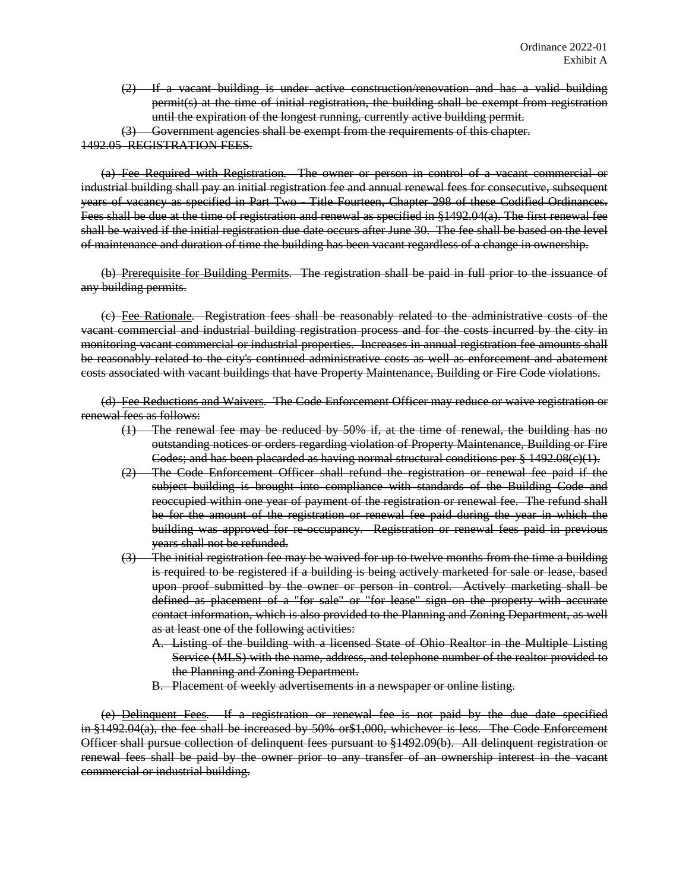- (2) If a vacant building is under active construction/renovation and has a valid building permit(s) at the time of initial registration, the building shall be exempt from registration until the expiration of the longest running, currently active building permit.
- (3) Government agencies shall be exempt from the requirements of this chapter.

1492.05 REGISTRATION FEES.

(a) Fee Required with Registration*.* The owner or person in control of a vacant commercial or industrial building shall pay an initial registration fee and annual renewal fees for consecutive, subsequent years of vacancy as specified in Part Two - Title Fourteen, Chapter 298 of these Codified Ordinances. Fees shall be due at the time of registration and renewal as specified in §1492.04(a). The first renewal fee shall be waived if the initial registration due date occurs after June 30. The fee shall be based on the level of maintenance and duration of time the building has been vacant regardless of a change in ownership.

(b) Prerequisite for Building Permits*.* The registration shall be paid in full prior to the issuance of any building permits.

(c) Fee Rationale*.* Registration fees shall be reasonably related to the administrative costs of the vacant commercial and industrial building registration process and for the costs incurred by the city in monitoring vacant commercial or industrial properties. Increases in annual registration fee amounts shall be reasonably related to the city's continued administrative costs as well as enforcement and abatement costs associated with vacant buildings that have Property Maintenance, Building or Fire Code violations.

(d) Fee Reductions and Waivers*.* The Code Enforcement Officer may reduce or waive registration or renewal fees as follows:

- (1) The renewal fee may be reduced by 50% if, at the time of renewal, the building has no outstanding notices or orders regarding violation of Property Maintenance, Building or Fire Codes; and has been placarded as having normal structural conditions per § 1492.08(c)(1).
- (2) The Code Enforcement Officer shall refund the registration or renewal fee paid if the subject building is brought into compliance with standards of the Building Code and reoccupied within one year of payment of the registration or renewal fee. The refund shall be for the amount of the registration or renewal fee paid during the year in which the building was approved for re-occupancy. Registration or renewal fees paid in previous years shall not be refunded.
- The initial registration fee may be waived for up to twelve months from the time a building is required to be registered if a building is being actively marketed for sale or lease, based upon proof submitted by the owner or person in control. Actively marketing shall be defined as placement of a "for sale" or "for lease" sign on the property with accurate contact information, which is also provided to the Planning and Zoning Department, as well as at least one of the following activities:
	- A. Listing of the building with a licensed State of Ohio Realtor in the Multiple Listing Service (MLS) with the name, address, and telephone number of the realtor provided to the Planning and Zoning Department.
	- B. Placement of weekly advertisements in a newspaper or online listing.

(e) Delinquent Fees*.* If a registration or renewal fee is not paid by the due date specified in §1492.04(a), the fee shall be increased by 50% or\$1,000, whichever is less. The Code Enforcement Officer shall pursue collection of delinquent fees pursuant to §1492.09(b). All delinquent registration or renewal fees shall be paid by the owner prior to any transfer of an ownership interest in the vacant commercial or industrial building.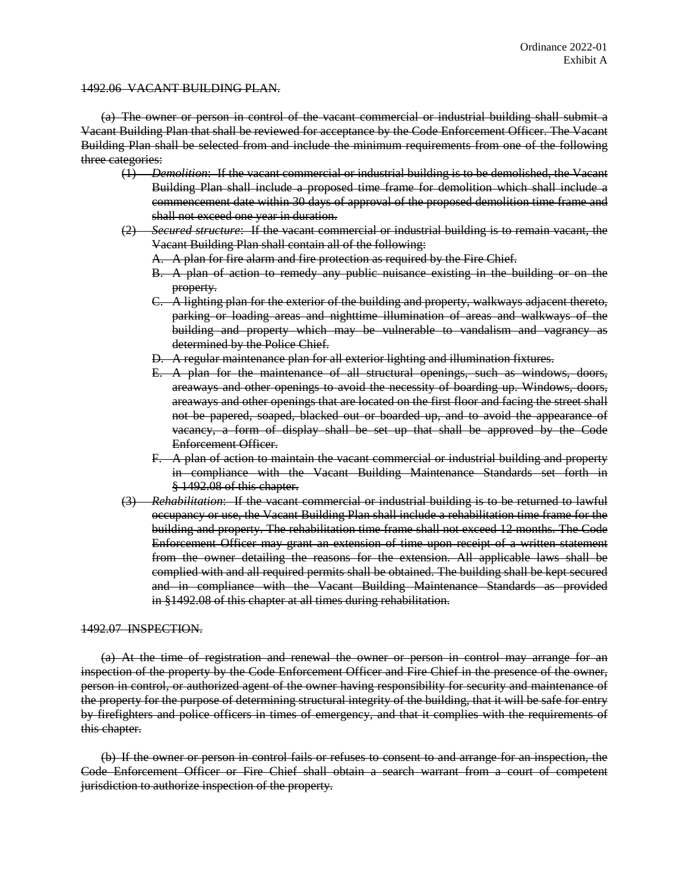## 1492.06 VACANT BUILDING PLAN.

(a) The owner or person in control of the vacant commercial or industrial building shall submit a Vacant Building Plan that shall be reviewed for acceptance by the Code Enforcement Officer. The Vacant Building Plan shall be selected from and include the minimum requirements from one of the following three categories:

- (1) *Demolition*: If the vacant commercial or industrial building is to be demolished, the Vacant Building Plan shall include a proposed time frame for demolition which shall include a commencement date within 30 days of approval of the proposed demolition time frame and shall not exceed one year in duration.
- (2) *Secured structure*: If the vacant commercial or industrial building is to remain vacant, the Vacant Building Plan shall contain all of the following:
	- A. A plan for fire alarm and fire protection as required by the Fire Chief.
	- B. A plan of action to remedy any public nuisance existing in the building or on the property.
	- C. A lighting plan for the exterior of the building and property, walkways adjacent thereto, parking or loading areas and nighttime illumination of areas and walkways of the building and property which may be vulnerable to vandalism and vagrancy as determined by the Police Chief.
	- D. A regular maintenance plan for all exterior lighting and illumination fixtures.
	- E. A plan for the maintenance of all structural openings, such as windows, doors, areaways and other openings to avoid the necessity of boarding up. Windows, doors, areaways and other openings that are located on the first floor and facing the street shall not be papered, soaped, blacked out or boarded up, and to avoid the appearance of vacancy, a form of display shall be set up that shall be approved by the Code Enforcement Officer.
	- F. A plan of action to maintain the vacant commercial or industrial building and property in compliance with the Vacant Building Maintenance Standards set forth in § 1492.08 of this chapter.
- (3) *Rehabilitation*: If the vacant commercial or industrial building is to be returned to lawful occupancy or use, the Vacant Building Plan shall include a rehabilitation time frame for the building and property. The rehabilitation time frame shall not exceed 12 months. The Code Enforcement Officer may grant an extension of time upon receipt of a written statement from the owner detailing the reasons for the extension. All applicable laws shall be complied with and all required permits shall be obtained. The building shall be kept secured and in compliance with the Vacant Building Maintenance Standards as provided in §1492.08 of this chapter at all times during rehabilitation.

## 1492.07 INSPECTION.

(a) At the time of registration and renewal the owner or person in control may arrange for an inspection of the property by the Code Enforcement Officer and Fire Chief in the presence of the owner, person in control, or authorized agent of the owner having responsibility for security and maintenance of the property for the purpose of determining structural integrity of the building, that it will be safe for entry by firefighters and police officers in times of emergency, and that it complies with the requirements of this chapter.

(b) If the owner or person in control fails or refuses to consent to and arrange for an inspection, the Code Enforcement Officer or Fire Chief shall obtain a search warrant from a court of competent jurisdiction to authorize inspection of the property.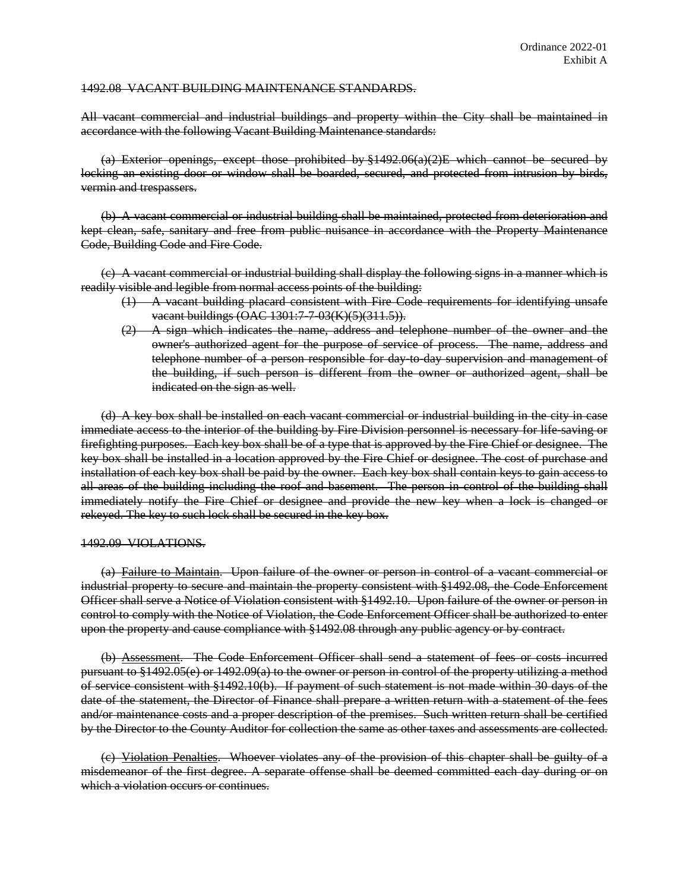## 1492.08 VACANT BUILDING MAINTENANCE STANDARDS.

All vacant commercial and industrial buildings and property within the City shall be maintained in accordance with the following Vacant Building Maintenance standards:

(a) Exterior openings, except those prohibited by  $\frac{1}{4}$  492.06(a)(2)E which cannot be secured by locking an existing door or window shall be boarded, secured, and protected from intrusion by birds, vermin and trespassers.

(b) A vacant commercial or industrial building shall be maintained, protected from deterioration and kept clean, safe, sanitary and free from public nuisance in accordance with the Property Maintenance Code, Building Code and Fire Code.

(c) A vacant commercial or industrial building shall display the following signs in a manner which is readily visible and legible from normal access points of the building:

- (1) A vacant building placard consistent with Fire Code requirements for identifying unsafe vacant buildings (OAC 1301:7-7-03(K)(5)(311.5)).
- $(2)$  A sign which indicates the name, address and telephone number of the owner and the owner's authorized agent for the purpose of service of process. The name, address and telephone number of a person responsible for day to day supervision and management of the building, if such person is different from the owner or authorized agent, shall be indicated on the sign as well.

(d) A key box shall be installed on each vacant commercial or industrial building in the city in case immediate access to the interior of the building by Fire Division personnel is necessary for life-saving or firefighting purposes. Each key box shall be of a type that is approved by the Fire Chief or designee. The key box shall be installed in a location approved by the Fire Chief or designee. The cost of purchase and installation of each key box shall be paid by the owner. Each key box shall contain keys to gain access to all areas of the building including the roof and basement. The person in control of the building shall immediately notify the Fire Chief or designee and provide the new key when a lock is changed or rekeyed. The key to such lock shall be secured in the key box.

#### 1492.09 VIOLATIONS.

(a) Failure to Maintain. Upon failure of the owner or person in control of a vacant commercial or industrial property to secure and maintain the property consistent with §1492.08, the Code Enforcement Officer shall serve a Notice of Violation consistent with §1492.10. Upon failure of the owner or person in control to comply with the Notice of Violation, the Code Enforcement Officer shall be authorized to enter upon the property and cause compliance with §1492.08 through any public agency or by contract.

(b) Assessment. The Code Enforcement Officer shall send a statement of fees or costs incurred pursuant to §1492.05(e) or 1492.09(a) to the owner or person in control of the property utilizing a method of service consistent with §1492.10(b). If payment of such statement is not made within 30 days of the date of the statement, the Director of Finance shall prepare a written return with a statement of the fees and/or maintenance costs and a proper description of the premises. Such written return shall be certified by the Director to the County Auditor for collection the same as other taxes and assessments are collected.

(c) Violation Penalties. Whoever violates any of the provision of this chapter shall be guilty of a misdemeanor of the first degree. A separate offense shall be deemed committed each day during or on which a violation occurs or continues.